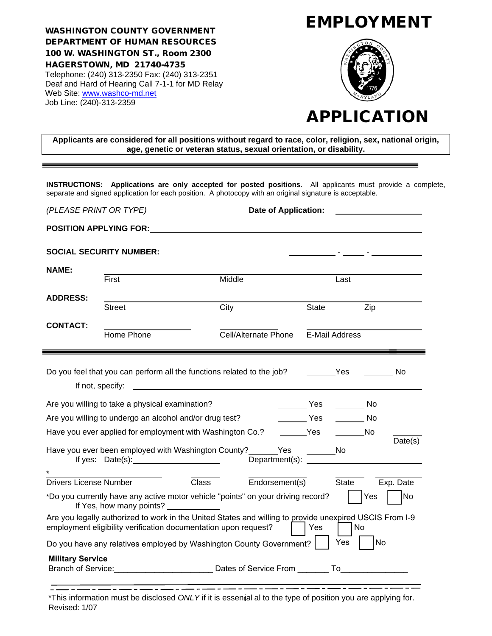WASHINGTON COUNTY GOVERNMENT DEPARTMENT OF HUMAN RESOURCES 100 W. WASHINGTON ST., Room 2300 HAGERSTOWN, MD 21740-4735 Telephone: (240) 313-2350 Fax: (240) 313-2351 Deaf and Hard of Hearing Call 7-1-1 for MD Relay Web Site: [www.washco-md.net](http://www.washco-md.net/)  Job Line: (240)-313-2359

# EMPLOYMENT



# APPLICATION

**Applicants are considered for all positions without regard to race, color, religion, sex, national origin, age, genetic or veteran status, sexual orientation, or disability.**

**INSTRUCTIONS: Applications are only accepted for posted positions**. All applicants must provide a complete, separate and signed application for each position. A photocopy with an original signature is acceptable.

| (PLEASE PRINT OR TYPE)                                                                                                                 |                                                                                                                                                                            | <b>Date of Application:</b> |                   |                    |  |  |  |  |
|----------------------------------------------------------------------------------------------------------------------------------------|----------------------------------------------------------------------------------------------------------------------------------------------------------------------------|-----------------------------|-------------------|--------------------|--|--|--|--|
| <b>POSITION APPLYING FOR:</b>                                                                                                          |                                                                                                                                                                            |                             |                   |                    |  |  |  |  |
|                                                                                                                                        | <b>SOCIAL SECURITY NUMBER:</b>                                                                                                                                             |                             |                   |                    |  |  |  |  |
| <b>NAME:</b>                                                                                                                           | First                                                                                                                                                                      | Middle                      | Last              |                    |  |  |  |  |
| <b>ADDRESS:</b>                                                                                                                        | <b>Street</b>                                                                                                                                                              | City                        | <b>State</b>      | Zip                |  |  |  |  |
| <b>CONTACT:</b>                                                                                                                        |                                                                                                                                                                            |                             |                   |                    |  |  |  |  |
|                                                                                                                                        | Home Phone                                                                                                                                                                 | Cell/Alternate Phone        | E-Mail Address    |                    |  |  |  |  |
|                                                                                                                                        | Do you feel that you can perform all the functions related to the job? ________Yes<br>in a strong No<br>If not, specify:                                                   |                             |                   |                    |  |  |  |  |
|                                                                                                                                        | Are you willing to take a physical examination?                                                                                                                            |                             | <b>Example ST</b> | <b>Solution</b> No |  |  |  |  |
|                                                                                                                                        | Are you willing to undergo an alcohol and/or drug test?                                                                                                                    |                             | Yes               | in a strong No     |  |  |  |  |
|                                                                                                                                        | Have you ever applied for employment with Washington Co.? __________ Yes                                                                                                   |                             |                   |                    |  |  |  |  |
| Date(s)<br>Have you ever been employed with Washington County? _______ Yes<br>No                                                       |                                                                                                                                                                            |                             |                   |                    |  |  |  |  |
| <b>Drivers License Number</b>                                                                                                          |                                                                                                                                                                            | Endorsement(s)<br>Class     | State             | Exp. Date          |  |  |  |  |
| No<br>*Do you currently have any active motor vehicle "points" on your driving record?<br>Yes<br>If Yes, how many points? ____________ |                                                                                                                                                                            |                             |                   |                    |  |  |  |  |
|                                                                                                                                        | Are you legally authorized to work in the United States and willing to provide unexpired USCIS From I-9<br>employment eligibility verification documentation upon request? |                             | Yes               | No                 |  |  |  |  |
|                                                                                                                                        | Do you have any relatives employed by Washington County Government?                                                                                                        |                             | Yes               | No                 |  |  |  |  |
| <b>Military Service</b>                                                                                                                | Branch of Service: <u>Contract of Service Community Community Community Community Community Community Community Co</u>                                                     |                             |                   |                    |  |  |  |  |

\*This information must be disclosed *ONLY* if it is essential al to the type of position you are applying for. Revised: 1/07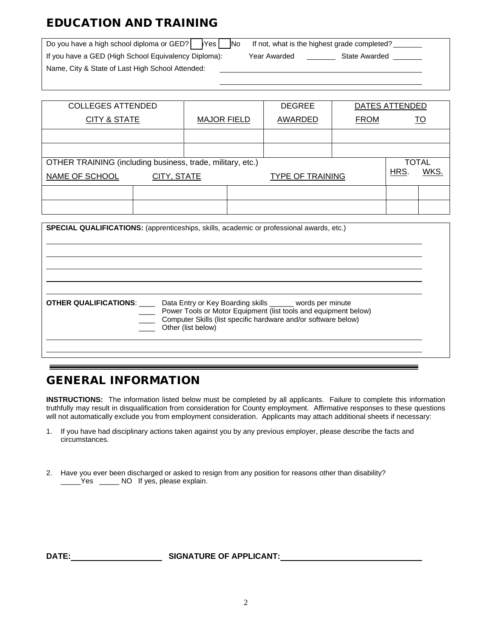## EDUCATION AND TRAINING

| Do you have a high school diploma or $GED?$ $\blacktriangleright$ Yes<br><b>No</b> | If not, what is the highest grade completed? |
|------------------------------------------------------------------------------------|----------------------------------------------|
| If you have a GED (High School Equivalency Diploma):                               | State Awarded<br>Year Awarded                |
| Name, City & State of Last High School Attended:                                   |                                              |

| <b>COLLEGES ATTENDED</b>                                   |                    |  | <b>DEGREE</b> | DATES ATTENDED          |  |      |              |
|------------------------------------------------------------|--------------------|--|---------------|-------------------------|--|------|--------------|
| <b>CITY &amp; STATE</b>                                    | <b>MAJOR FIELD</b> |  | AWARDED       | <b>FROM</b>             |  | TO   |              |
|                                                            |                    |  |               |                         |  |      |              |
|                                                            |                    |  |               |                         |  |      |              |
| OTHER TRAINING (including business, trade, military, etc.) |                    |  |               |                         |  |      | <b>TOTAL</b> |
| NAME OF SCHOOL                                             | CITY, STATE        |  |               | <b>TYPE OF TRAINING</b> |  | HRS. | WKS.         |
|                                                            |                    |  |               |                         |  |      |              |
|                                                            |                    |  |               |                         |  |      |              |

| <b>SPECIAL QUALIFICATIONS:</b> (apprenticeships, skills, academic or professional awards, etc.)                                                                                                                                                           |  |
|-----------------------------------------------------------------------------------------------------------------------------------------------------------------------------------------------------------------------------------------------------------|--|
| <b>OTHER QUALIFICATIONS:</b> ______ Data Entry or Key Boarding skills _______ words per minute<br>Power Tools or Motor Equipment (list tools and equipment below)<br>Computer Skills (list specific hardware and/or software below)<br>Other (list below) |  |

#### GENERAL INFORMATION

**INSTRUCTIONS:** The information listed below must be completed by all applicants. Failure to complete this information truthfully may result in disqualification from consideration for County employment. Affirmative responses to these questions will not automatically exclude you from employment consideration. Applicants may attach additional sheets if necessary:

- 1. If you have had disciplinary actions taken against you by any previous employer, please describe the facts and circumstances.
- 2. Have you ever been discharged or asked to resign from any position for reasons other than disability? \_\_\_\_\_Yes \_\_\_\_\_ NO If yes, please explain.

**DATE: SIGNATURE OF APPLICANT:**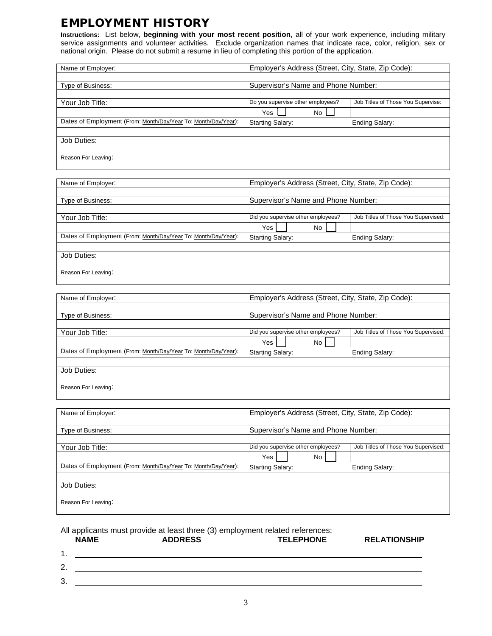#### EMPLOYMENT HISTORY

**Instructions:** List below, **beginning with your most recent position**, all of your work experience, including military service assignments and volunteer activities. Exclude organization names that indicate race, color, religion, sex or national origin. Please do not submit a resume in lieu of completing this portion of the application.

| Name of Employer:                                              | Employer's Address (Street, City, State, Zip Code): |                                    |  |  |  |
|----------------------------------------------------------------|-----------------------------------------------------|------------------------------------|--|--|--|
|                                                                |                                                     |                                    |  |  |  |
| Type of Business:                                              | Supervisor's Name and Phone Number:                 |                                    |  |  |  |
|                                                                |                                                     |                                    |  |  |  |
| Your Job Title:                                                | Do you supervise other employees?                   | Job Titles of Those You Supervise: |  |  |  |
|                                                                | No<br>Yes                                           |                                    |  |  |  |
| Dates of Employment (From: Month/Day/Year To: Month/Day/Year): | <b>Starting Salary:</b>                             | Ending Salary:                     |  |  |  |
|                                                                |                                                     |                                    |  |  |  |
| Job Duties:                                                    |                                                     |                                    |  |  |  |
|                                                                |                                                     |                                    |  |  |  |
| Reason For Leaving:                                            |                                                     |                                    |  |  |  |

| Name of Employer:                                              | Employer's Address (Street, City, State, Zip Code): |  |     |                                     |                |
|----------------------------------------------------------------|-----------------------------------------------------|--|-----|-------------------------------------|----------------|
|                                                                |                                                     |  |     |                                     |                |
| Type of Business:                                              | Supervisor's Name and Phone Number:                 |  |     |                                     |                |
|                                                                |                                                     |  |     |                                     |                |
| Your Job Title:                                                | Did you supervise other employees?                  |  |     | Job Titles of Those You Supervised: |                |
|                                                                | Yes                                                 |  | No. |                                     |                |
| Dates of Employment (From: Month/Day/Year To: Month/Day/Year): | Starting Salary:                                    |  |     |                                     | Ending Salary: |
|                                                                |                                                     |  |     |                                     |                |
| Job Duties:                                                    |                                                     |  |     |                                     |                |
|                                                                |                                                     |  |     |                                     |                |

Reason For Leaving:

| Name of Employer:                                              | Employer's Address (Street, City, State, Zip Code): |                                     |     |  |  |                                     |
|----------------------------------------------------------------|-----------------------------------------------------|-------------------------------------|-----|--|--|-------------------------------------|
|                                                                |                                                     |                                     |     |  |  |                                     |
| Type of Business:                                              |                                                     | Supervisor's Name and Phone Number: |     |  |  |                                     |
|                                                                |                                                     |                                     |     |  |  |                                     |
| Your Job Title:                                                | Did you supervise other employees?                  |                                     |     |  |  | Job Titles of Those You Supervised: |
|                                                                | Yes                                                 |                                     | No. |  |  |                                     |
| Dates of Employment (From: Month/Day/Year To: Month/Day/Year): | <b>Starting Salary:</b><br>Ending Salary:           |                                     |     |  |  |                                     |
|                                                                |                                                     |                                     |     |  |  |                                     |
| Job Duties:                                                    |                                                     |                                     |     |  |  |                                     |
|                                                                |                                                     |                                     |     |  |  |                                     |

Reason For Leaving:

| Name of Employer:                                              | Employer's Address (Street, City, State, Zip Code): |  |                                    |                                     |  |  |  |
|----------------------------------------------------------------|-----------------------------------------------------|--|------------------------------------|-------------------------------------|--|--|--|
|                                                                |                                                     |  |                                    |                                     |  |  |  |
| Type of Business:                                              | Supervisor's Name and Phone Number:                 |  |                                    |                                     |  |  |  |
|                                                                |                                                     |  |                                    |                                     |  |  |  |
| Your Job Title:                                                |                                                     |  | Did you supervise other employees? | Job Titles of Those You Supervised: |  |  |  |
|                                                                | Yes                                                 |  | No.                                |                                     |  |  |  |
| Dates of Employment (From: Month/Day/Year To: Month/Day/Year): | <b>Starting Salary:</b>                             |  |                                    | Ending Salary:                      |  |  |  |
|                                                                |                                                     |  |                                    |                                     |  |  |  |
| Job Duties:                                                    |                                                     |  |                                    |                                     |  |  |  |
|                                                                |                                                     |  |                                    |                                     |  |  |  |
| Reason For Leaving:                                            |                                                     |  |                                    |                                     |  |  |  |
|                                                                |                                                     |  |                                    |                                     |  |  |  |

# All applicants must provide at least three (3) employment related references:<br> **NAME**<br> **ADDRESS**<br> **ADDRESS**

| . .            |  |  |
|----------------|--|--|
| ົ<br><u>z.</u> |  |  |
| 3.             |  |  |

**RELATIONSHIP**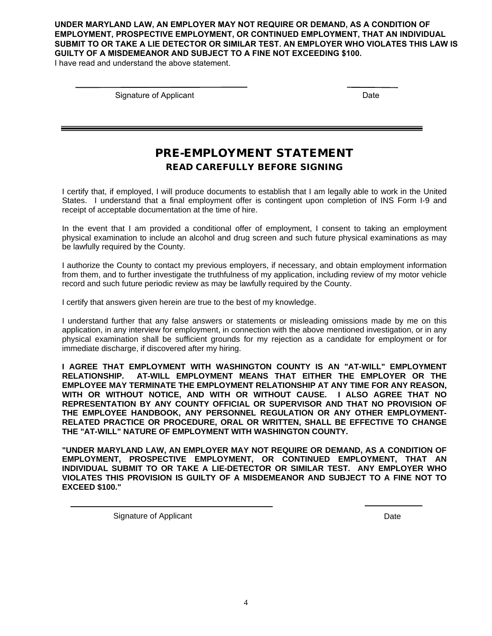**UNDER MARYLAND LAW, AN EMPLOYER MAY NOT REQUIRE OR DEMAND, AS A CONDITION OF EMPLOYMENT, PROSPECTIVE EMPLOYMENT, OR CONTINUED EMPLOYMENT, THAT AN INDIVIDUAL SUBMIT TO OR TAKE A LIE DETECTOR OR SIMILAR TEST. AN EMPLOYER WHO VIOLATES THIS LAW IS GUILTY OF A MISDEMEANOR AND SUBJECT TO A FINE NOT EXCEEDING \$100.** 

I have read and understand the above statement.

Signature of Applicant Date Control of Applicant Date Date Date Date Date Date Date

#### PRE-EMPLOYMENT STATEMENT READ CAREFULLY BEFORE SIGNING

I certify that, if employed, I will produce documents to establish that I am legally able to work in the United States. I understand that a final employment offer is contingent upon completion of INS Form I-9 and receipt of acceptable documentation at the time of hire.

In the event that I am provided a conditional offer of employment, I consent to taking an employment physical examination to include an alcohol and drug screen and such future physical examinations as may be lawfully required by the County.

I authorize the County to contact my previous employers, if necessary, and obtain employment information from them, and to further investigate the truthfulness of my application, including review of my motor vehicle record and such future periodic review as may be lawfully required by the County.

I certify that answers given herein are true to the best of my knowledge.

I understand further that any false answers or statements or misleading omissions made by me on this application, in any interview for employment, in connection with the above mentioned investigation, or in any physical examination shall be sufficient grounds for my rejection as a candidate for employment or for immediate discharge, if discovered after my hiring.

**I AGREE THAT EMPLOYMENT WITH WASHINGTON COUNTY IS AN "AT-WILL" EMPLOYMENT RELATIONSHIP. AT-WILL EMPLOYMENT MEANS THAT EITHER THE EMPLOYER OR THE EMPLOYEE MAY TERMINATE THE EMPLOYMENT RELATIONSHIP AT ANY TIME FOR ANY REASON, WITH OR WITHOUT NOTICE, AND WITH OR WITHOUT CAUSE. I ALSO AGREE THAT NO REPRESENTATION BY ANY COUNTY OFFICIAL OR SUPERVISOR AND THAT NO PROVISION OF THE EMPLOYEE HANDBOOK, ANY PERSONNEL REGULATION OR ANY OTHER EMPLOYMENT-RELATED PRACTICE OR PROCEDURE, ORAL OR WRITTEN, SHALL BE EFFECTIVE TO CHANGE THE "AT-WILL" NATURE OF EMPLOYMENT WITH WASHINGTON COUNTY.**

**"UNDER MARYLAND LAW, AN EMPLOYER MAY NOT REQUIRE OR DEMAND, AS A CONDITION OF EMPLOYMENT, PROSPECTIVE EMPLOYMENT, OR CONTINUED EMPLOYMENT, THAT AN INDIVIDUAL SUBMIT TO OR TAKE A LIE-DETECTOR OR SIMILAR TEST. ANY EMPLOYER WHO VIOLATES THIS PROVISION IS GUILTY OF A MISDEMEANOR AND SUBJECT TO A FINE NOT TO EXCEED \$100."**

Signature of Applicant Date Date Date Date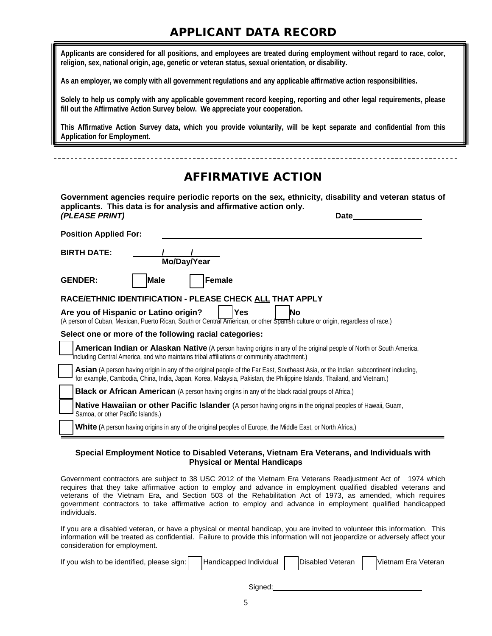### APPLICANT DATA RECORD

**Applicants are considered for all positions, and employees are treated during employment without regard to race, color, religion, sex, national origin, age, genetic or veteran status, sexual orientation, or disability.**

**As an employer, we comply with all government regulations and any applicable affirmative action responsibilities.**

**Solely to help us comply with any applicable government record keeping, reporting and other legal requirements, please fill out the Affirmative Action Survey below. We appreciate your cooperation.**

**This Affirmative Action Survey data, which you provide voluntarily, will be kept separate and confidential from this Application for Employment.**

## AFFIRMATIVE ACTION **Government agencies require periodic reports on the sex, ethnicity, disability and veteran status of applicants. This data is for analysis and affirmative action only.** *(PLEASE PRINT)* **Date Position Applied For: BIRTH DATE: Mo/Day/Year GENDER: ( ) Male ( ) Female RACE/ETHNIC IDENTIFICATION - PLEASE CHECK ALL THAT APPLY** Are you of Hispanic or Latino origin? | | Yes | No (A person of Cuban, Mexican, Puerto Rican, South or Central American, or other Spanish culture or origin, regardless of race.) **Select one or more of the following racial categories: American Indian or Alaskan Native** (A person having origins in any of the original people of North or South America, including Central America, and who maintains tribal affiliations or community attachment.) Asian (A person having origin in any of the original people of the Far East, Southeast Asia, or the Indian subcontinent including, for example, Cambodia, China, India, Japan, Korea, Malaysia, Pakistan, the Philippine Islands, Thailand, and Vietnam.) **Black or African American** (A person having origins in any of the black racial groups of Africa.) **Native Hawaiian or other Pacific Islander** (A person having origins in the original peoples of Hawaii, Guam, Samoa, or other Pacific Islands.) White (A person having origins in any of the original peoples of Europe, the Middle East, or North Africa.)

#### **Special Employment Notice to Disabled Veterans, Vietnam Era Veterans, and Individuals with Physical or Mental Handicaps**

Government contractors are subject to 38 USC 2012 of the Vietnam Era Veterans Readjustment Act of 1974 which requires that they take affirmative action to employ and advance in employment qualified disabled veterans and veterans of the Vietnam Era, and Section 503 of the Rehabilitation Act of 1973, as amended, which requires government contractors to take affirmative action to employ and advance in employment qualified handicapped individuals.

If you are a disabled veteran, or have a physical or mental handicap, you are invited to volunteer this information. This information will be treated as confidential. Failure to provide this information will not jeopardize or adversely affect your consideration for employment.

| If you wish to be identified, please sign: Handicapped Individual <b>Disabled Veteran</b> Vietnam Era Veteran |  |  |
|---------------------------------------------------------------------------------------------------------------|--|--|
|                                                                                                               |  |  |

Signed: